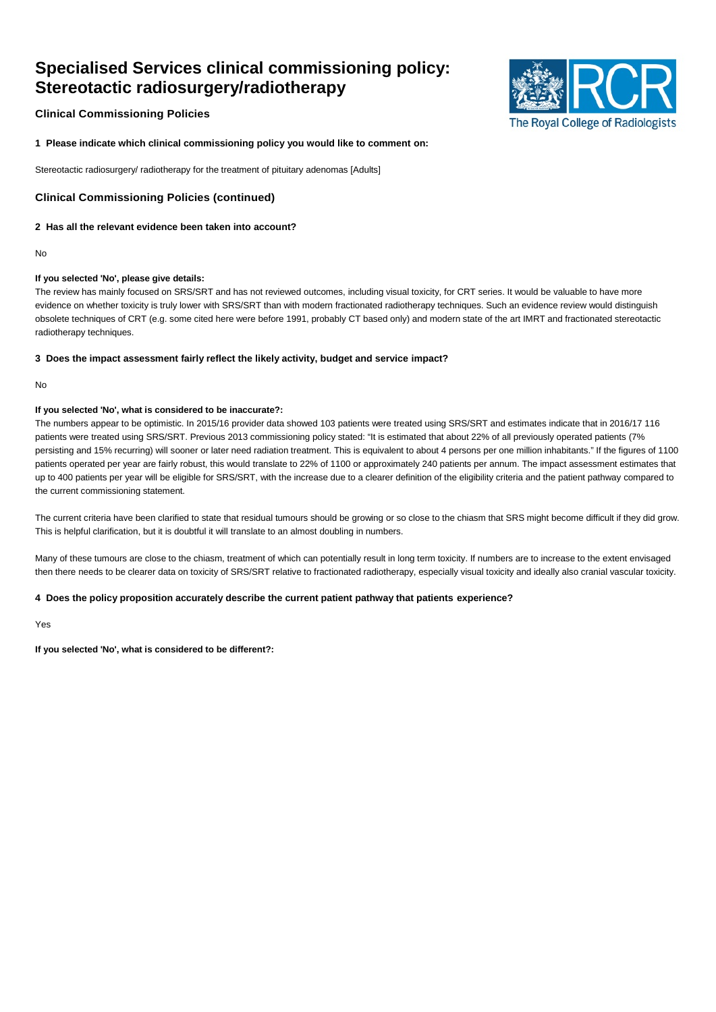# **Specialised Services clinical commissioning policy: Stereotactic radiosurgery/radiotherapy**



# **Clinical Commissioning Policies**

**1 Please indicate which clinical commissioning policy you would like to comment on:**

Stereotactic radiosurgery/ radiotherapy for the treatment of pituitary adenomas [Adults]

# **Clinical Commissioning Policies (continued)**

## **2 Has all the relevant evidence been taken into account?**

No

### **If you selected 'No', please give details:**

The review has mainly focused on SRS/SRT and has not reviewed outcomes, including visual toxicity, for CRT series. It would be valuable to have more evidence on whether toxicity is truly lower with SRS/SRT than with modern fractionated radiotherapy techniques. Such an evidence review would distinguish obsolete techniques of CRT (e.g. some cited here were before 1991, probably CT based only) and modern state of the art IMRT and fractionated stereotactic radiotherapy techniques.

### **3 Does the impact assessment fairly reflect the likely activity, budget and service impact?**

No

### **If you selected 'No', what is considered to be inaccurate?:**

The numbers appear to be optimistic. In 2015/16 provider data showed 103 patients were treated using SRS/SRT and estimates indicate that in 2016/17 116 patients were treated using SRS/SRT. Previous 2013 commissioning policy stated: "It is estimated that about 22% of all previously operated patients (7% persisting and 15% recurring) will sooner or later need radiation treatment. This is equivalent to about 4 persons per one million inhabitants." If the figures of 1100 patients operated per year are fairly robust, this would translate to 22% of 1100 or approximately 240 patients per annum. The impact assessment estimates that up to 400 patients per year will be eligible for SRS/SRT, with the increase due to a clearer definition of the eligibility criteria and the patient pathway compared to the current commissioning statement.

The current criteria have been clarified to state that residual tumours should be growing or so close to the chiasm that SRS might become difficult if they did grow. This is helpful clarification, but it is doubtful it will translate to an almost doubling in numbers.

Many of these tumours are close to the chiasm, treatment of which can potentially result in long term toxicity. If numbers are to increase to the extent envisaged then there needs to be clearer data on toxicity of SRS/SRT relative to fractionated radiotherapy, especially visual toxicity and ideally also cranial vascular toxicity.

## **4 Does the policy proposition accurately describe the current patient pathway that patients experience?**

Yes

**If you selected 'No', what is considered to be different?:**